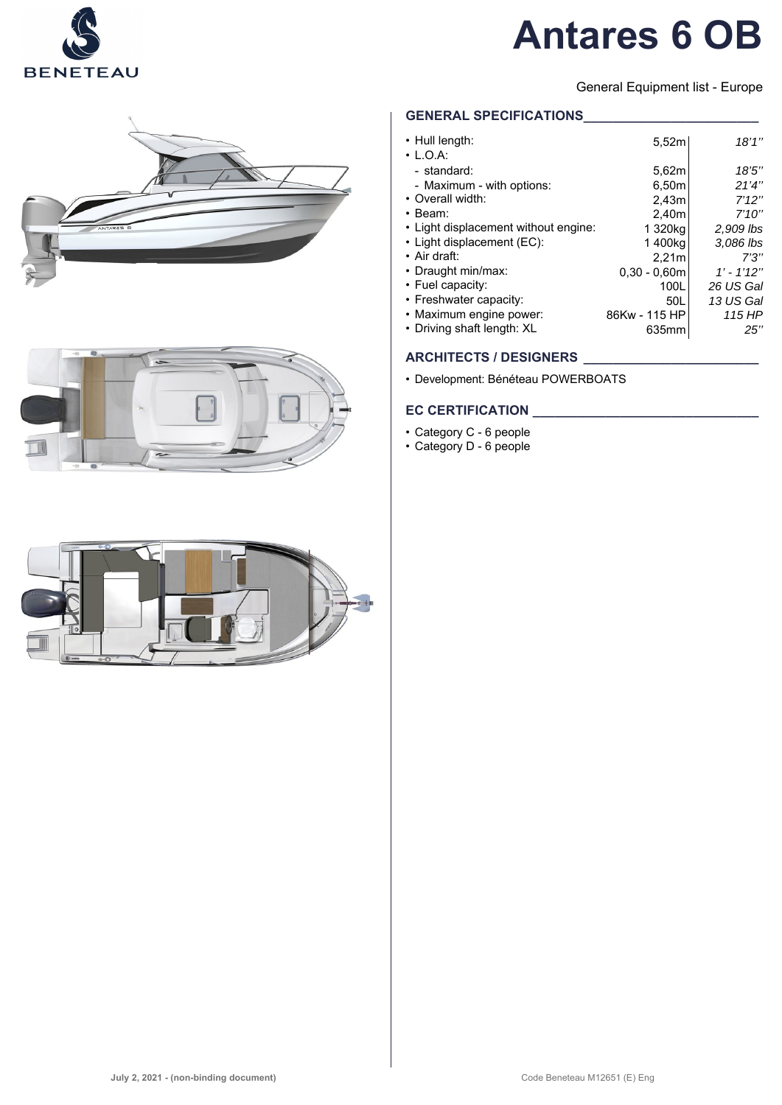

# **Antares 6 OB**

General Equipment list - Europe





**GENERAL SPECIFICATIONS\_\_\_\_\_\_\_\_\_\_\_\_\_\_\_\_\_\_\_\_\_\_\_\_**

| • Hull length:<br>$\cdot$ L.O.A:     | 5.52m          | 18'1''         |
|--------------------------------------|----------------|----------------|
| - standard:                          | 5,62m          | 18'5''         |
| - Maximum - with options:            | 6.50m          | 21'4''         |
| • Overall width:                     | 2,43m          | 7'12''         |
| $\cdot$ Beam:                        | 2,40m          | 7'10''         |
| • Light displacement without engine: | 1 320kg        | 2,909 lbs      |
| • Light displacement (EC):           | 1400kg         | 3,086 lbs      |
| $\cdot$ Air draft:                   | 2,21m          | 7'3''          |
| • Draught min/max:                   | $0.30 - 0.60m$ | $1'$ - $1'12"$ |
| • Fuel capacity:                     | 100L           | 26 US Gal      |
| • Freshwater capacity:               | 50L            | 13 US Gal      |
| • Maximum engine power:              | 86Kw - 115 HP  | 115 HP         |
| • Driving shaft length: XL           | 635mm          | 25"            |

# **ARCHITECTS / DESIGNERS \_\_\_\_\_\_\_\_\_\_\_\_\_\_\_\_\_\_\_\_\_\_\_\_**

• Development: Bénéteau POWERBOATS

## **EC CERTIFICATION \_\_\_\_\_\_\_\_\_\_\_\_\_\_\_\_\_\_\_\_\_\_\_\_\_\_\_\_\_\_\_**

- Category C 6 people
- Category D 6 people

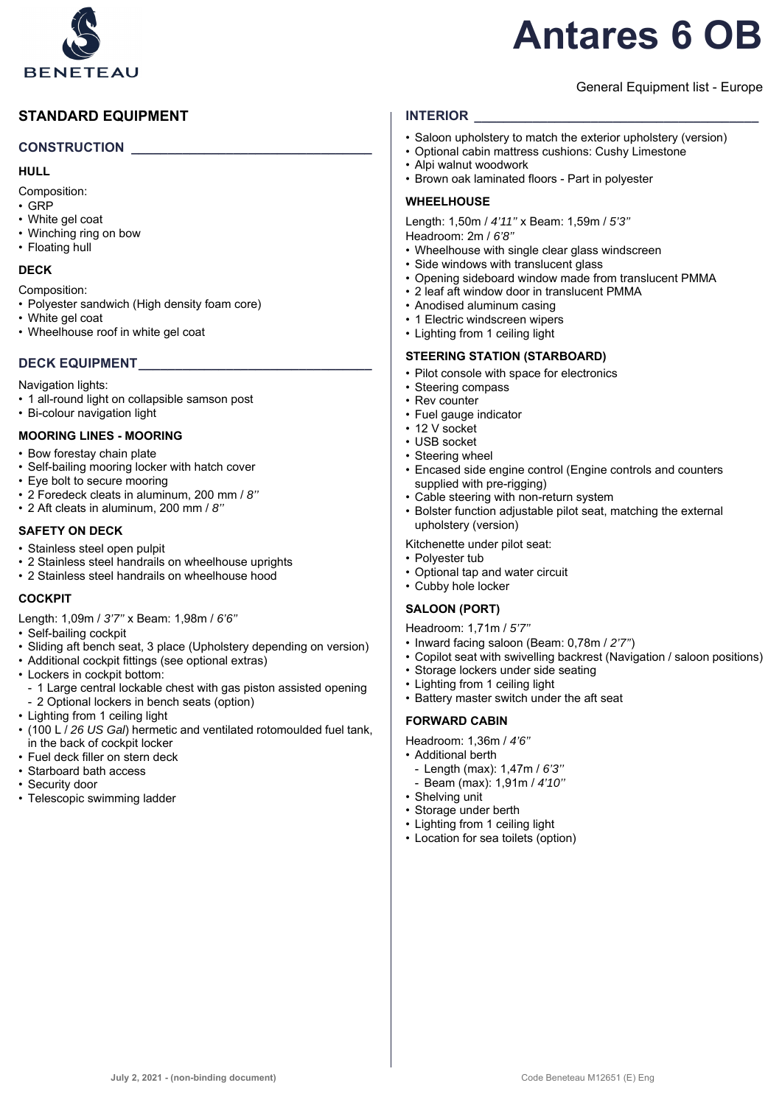

# **Antares 6 OB**

### General Equipment list - Europe

# **STANDARD EQUIPMENT**

#### **CONSTRUCTION \_\_\_\_\_\_\_\_\_\_\_\_\_\_\_\_\_\_\_\_\_\_\_\_\_\_\_\_\_\_\_\_\_**

#### **HULL**

Composition:

- GRP
- White gel coat
- Winching ring on bow
- Floating hull

#### **DECK**

Composition:

- Polyester sandwich (High density foam core)
- White gel coat
- Wheelhouse roof in white gel coat

# **DECK EQUIPMENT\_\_\_\_\_\_\_\_\_\_\_\_\_\_\_\_\_\_\_\_\_\_\_\_\_\_\_\_\_\_\_\_**

Navigation lights:

- 1 all-round light on collapsible samson post
- Bi-colour navigation light

#### **MOORING LINES - MOORING**

- Bow forestay chain plate
- Self-bailing mooring locker with hatch cover
- Eye bolt to secure mooring
- 2 Foredeck cleats in aluminum, 200 mm / *8''*
- 2 Aft cleats in aluminum, 200 mm / *8''*

#### **SAFETY ON DECK**

- Stainless steel open pulpit
- 2 Stainless steel handrails on wheelhouse uprights
- 2 Stainless steel handrails on wheelhouse hood

# **COCKPIT**

- Length: 1,09m / *3'7''* x Beam: 1,98m / *6'6''*
- Self-bailing cockpit
- Sliding aft bench seat, 3 place (Upholstery depending on version)
- Additional cockpit fittings (see optional extras)
- Lockers in cockpit bottom:
- 1 Large central lockable chest with gas piston assisted opening - 2 Optional lockers in bench seats (option)
- Lighting from 1 ceiling light
- (100 L / *26 US Gal*) hermetic and ventilated rotomoulded fuel tank, in the back of cockpit locker
- Fuel deck filler on stern deck
- Starboard bath access
- Security door
- Telescopic swimming ladder

#### **INTERIOR**

- Saloon upholstery to match the exterior upholstery (version)
- Optional cabin mattress cushions: Cushy Limestone
- Alpi walnut woodwork
- Brown oak laminated floors Part in polyester

#### **WHEELHOUSE**

Length: 1,50m / *4'11''* x Beam: 1,59m / *5'3''* Headroom: 2m / *6'8''*

- Wheelhouse with single clear glass windscreen
- Side windows with translucent glass
- Opening sideboard window made from translucent PMMA
- 2 leaf aft window door in translucent PMMA
- Anodised aluminum casing
- 1 Electric windscreen wipers
- Lighting from 1 ceiling light

#### **STEERING STATION (STARBOARD)**

- Pilot console with space for electronics
- Steering compass
- Rev counter
- Fuel gauge indicator
- 12 V socket
- USB socket
- Steering wheel
- Encased side engine control (Engine controls and counters supplied with pre-rigging)
- Cable steering with non-return system
- Bolster function adjustable pilot seat, matching the external upholstery (version)

#### Kitchenette under pilot seat:

- Polyester tub
- Optional tap and water circuit
- Cubby hole locker

#### **SALOON (PORT)**

Headroom: 1,71m / *5'7''*

- Inward facing saloon (Beam: 0,78m / *2'7''*)
- Copilot seat with swivelling backrest (Navigation / saloon positions)
- Storage lockers under side seating
- Lighting from 1 ceiling light
- Battery master switch under the aft seat

#### **FORWARD CABIN**

Headroom: 1,36m / *4'6''*

- Additional berth
- Length (max): 1,47m / *6'3''*
- Beam (max): 1,91m / *4'10''*
- Shelving unit
- Storage under berth
- Lighting from 1 ceiling light
- Location for sea toilets (option)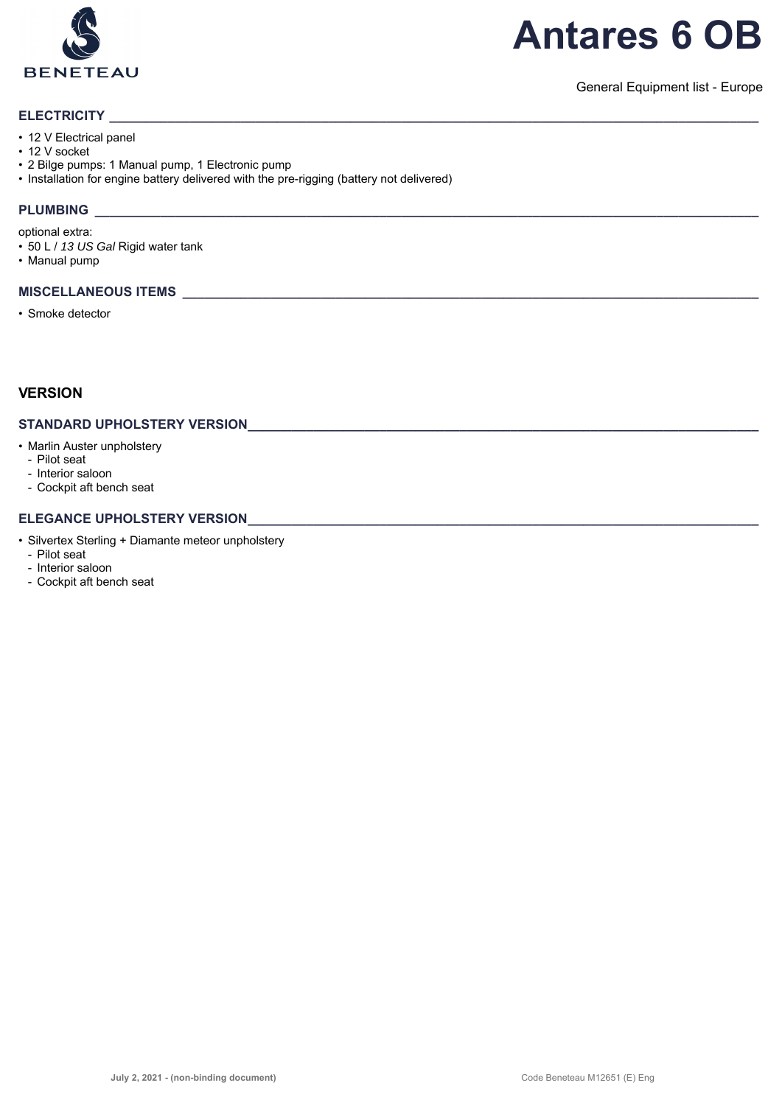

# **Antares 6 OB**

General Equipment list - Europe

#### **ELECTRICITY**

- 12 V Electrical panel
- 12 V socket
- 2 Bilge pumps: 1 Manual pump, 1 Electronic pump
- Installation for engine battery delivered with the pre-rigging (battery not delivered)

# **PLUMBING \_\_\_\_\_\_\_\_\_\_\_\_\_\_\_\_\_\_\_\_\_\_\_\_\_\_\_\_\_\_\_\_\_\_\_\_\_\_\_\_\_\_\_\_\_\_\_\_\_\_\_\_\_\_\_\_\_\_\_\_\_\_\_\_\_\_\_\_\_\_\_\_\_\_\_\_\_\_\_\_\_\_\_\_\_\_\_\_\_\_\_**

optional extra:

- 50 L / *13 US Gal* Rigid water tank
- Manual pump

#### **MISCELLANEOUS ITEMS \_\_\_\_\_\_\_\_\_\_\_\_\_\_\_\_\_\_\_\_\_\_\_\_\_\_\_\_\_\_\_\_\_\_\_\_\_\_\_\_\_\_\_\_\_\_\_\_\_\_\_\_\_\_\_\_\_\_\_\_\_\_\_\_\_\_\_\_\_\_\_\_\_\_\_\_\_\_\_**

• Smoke detector

# **VERSION**

#### **STANDARD UPHOLSTERY VERSION\_\_\_\_\_\_\_\_\_\_\_\_\_\_\_\_\_\_\_\_\_\_\_\_\_\_\_\_\_\_\_\_\_\_\_\_\_\_\_\_\_\_\_\_\_\_\_\_\_\_\_\_\_\_\_\_\_\_\_\_\_\_\_\_\_\_\_\_\_\_**

- Marlin Auster unpholstery
	- Pilot seat
	- Interior saloon
	- Cockpit aft bench seat

#### **ELEGANCE UPHOLSTERY VERSION**

- Silvertex Sterling + Diamante meteor unpholstery
	- Pilot seat
	- Interior saloon
- Cockpit aft bench seat